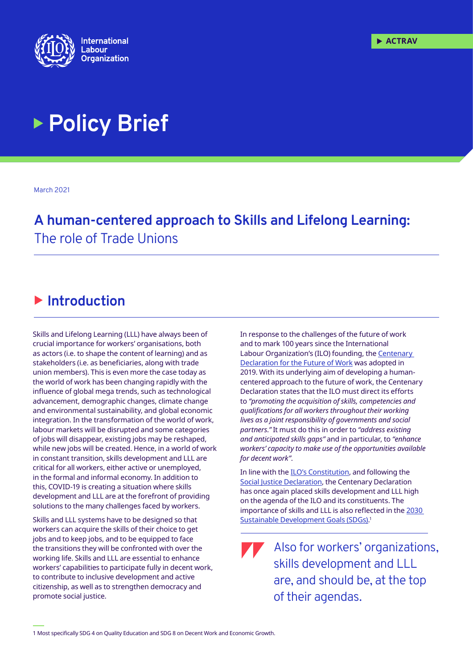

# **Policy Brief**

March 2021

# **A human-centered approach to Skills and Lifelong Learning:** The role of Trade Unions

## $\blacktriangleright$  **Introduction**

Skills and Lifelong Learning (LLL) have always been of crucial importance for workers' organisations, both as actors (i.e. to shape the content of learning) and as stakeholders (i.e. as beneficiaries, along with trade union members). This is even more the case today as the world of work has been changing rapidly with the influence of global mega trends, such as technological advancement, demographic changes, climate change and environmental sustainability, and global economic integration. In the transformation of the world of work, labour markets will be disrupted and some categories of jobs will disappear, existing jobs may be reshaped, while new jobs will be created. Hence, in a world of work in constant transition, skills development and LLL are critical for all workers, either active or unemployed, in the formal and informal economy. In addition to this, COVID-19 is creating a situation where skills development and LLL are at the forefront of providing solutions to the many challenges faced by workers.

Skills and LLL systems have to be designed so that workers can acquire the skills of their choice to get jobs and to keep jobs, and to be equipped to face the transitions they will be confronted with over the working life. Skills and LLL are essential to enhance workers' capabilities to participate fully in decent work, to contribute to inclusive development and active citizenship, as well as to strengthen democracy and promote social justice.

In response to the challenges of the future of work and to mark 100 years since the International Labour Organization's (ILO) founding, the Centenary Declaration for the Future of Work was adopted in 2019. With its underlying aim of developing a humancentered approach to the future of work, the Centenary Declaration states that the ILO must direct its efforts to *"promoting the acquisition of skills, competencies and qualifications for all workers throughout their working lives as a joint responsibility of governments and social partners."* It must do this in order to *"address existing and anticipated skills gaps"* and in particular, to *"enhance workers' capacity to make use of the opportunities available for decent work"*.

In line with the ILO's Constitution, and following the Social Justice Declaration, the Centenary Declaration has once again placed skills development and LLL high on the agenda of the ILO and its constituents. The importance of skills and LLL is also reflected in the 2030 Sustainable Development Goals (SDGs). 1

Also for workers' organizations, skills development and LLL are, and should be, at the top of their agendas.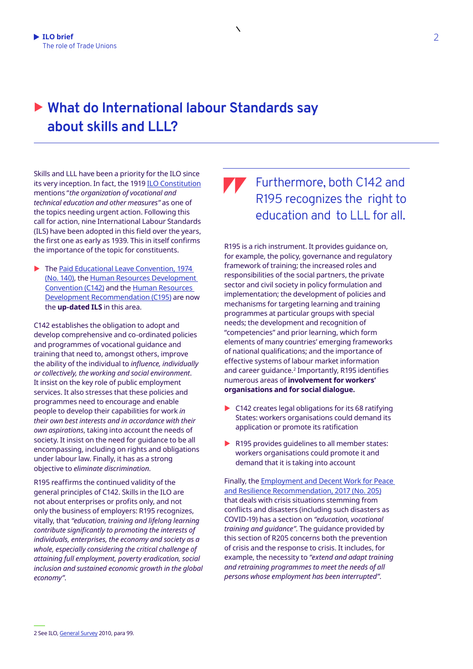## ▶ What do International labour Standards say **about skills and LLL?**

 $\overline{\phantom{0}}$ 

Skills and LLL have been a priority for the ILO since its very inception. In fact, the 1919 ILO Constitution mentions "*the organization of vocational and technical education and other measures"* as one of the topics needing urgent action. Following this call for action, nine International Labour Standards (ILS) have been adopted in this field over the years, the first one as early as 1939. This in itself confirms the importance of the topic for constituents.

 $\blacktriangleright$  The Paid Educational Leave Convention, 1974 (No. 140), the Human Resources Development Convention (C142) and the Human Resources Development Recommendation (C195) are now the **up-dated ILS** in this area.

C142 establishes the obligation to adopt and develop comprehensive and co-ordinated policies and programmes of vocational guidance and training that need to, amongst others, improve the ability of the individual to *influence, individually or collectively, the working and social environment*. It insist on the key role of public employment services. It also stresses that these policies and programmes need to encourage and enable people to develop their capabilities for work *in their own best interests and in accordance with their own aspirations*, taking into account the needs of society. It insist on the need for guidance to be all encompassing, including on rights and obligations under labour law. Finally, it has as a strong objective to *eliminate discrimination*.

R195 reaffirms the continued validity of the general principles of C142. Skills in the ILO are not about enterprises or profits only, and not only the business of employers: R195 recognizes, vitally, that *"education, training and lifelong learning contribute significantly to promoting the interests of individuals, enterprises, the economy and society as a whole, especially considering the critical challenge of attaining full employment, poverty eradication, social inclusion and sustained economic growth in the global economy"*.

#### Furthermore, both C142 and R195 recognizes the right to education and to LLL for all.

R195 is a rich instrument. It provides guidance on, for example, the policy, governance and regulatory framework of training; the increased roles and responsibilities of the social partners, the private sector and civil society in policy formulation and implementation; the development of policies and mechanisms for targeting learning and training programmes at particular groups with special needs; the development and recognition of "competencies" and prior learning, which form elements of many countries' emerging frameworks of national qualifications; and the importance of effective systems of labour market information and career guidance.<sup>2</sup> Importantly, R195 identifies numerous areas of **involvement for workers' organisations and for social dialogue.** 

- C142 creates legal obligations for its 68 ratifying States: workers organisations could demand its application or promote its ratification
- $\blacktriangleright$  R195 provides quidelines to all member states: workers organisations could promote it and demand that it is taking into account

Finally, the Employment and Decent Work for Peace and Resilience Recommendation, 2017 (No. 205) that deals with crisis situations stemming from conflicts and disasters (including such disasters as COVID-19) has a section on *"education, vocational training and guidance"*. The guidance provided by this section of R205 concerns both the prevention of crisis and the response to crisis. It includes, for example, the necessity to *"extend and adapt training and retraining programmes to meet the needs of all persons whose employment has been interrupted"*.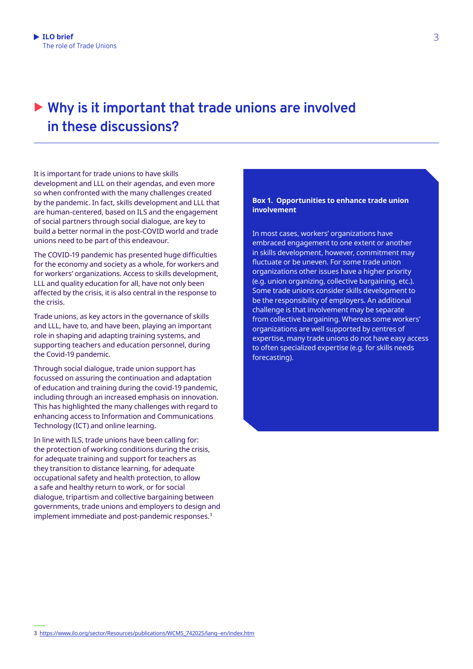### ▶ Why is it important that trade unions are involved **in these discussions?**

It is important for trade unions to have skills development and LLL on their agendas, and even more so when confronted with the many challenges created by the pandemic. In fact, skills development and LLL that are human-centered, based on ILS and the engagement of social partners through social dialogue, are key to build a better normal in the post-COVID world and trade unions need to be part of this endeavour.

The COVID-19 pandemic has presented huge difficulties for the economy and society as a whole, for workers and for workers' organizations. Access to skills development, LLL and quality education for all, have not only been affected by the crisis, it is also central in the response to the crisis.

Trade unions, as key actors in the governance of skills and LLL, have to, and have been, playing an important role in shaping and adapting training systems, and supporting teachers and education personnel, during the Covid-19 pandemic.

Through social dialogue, trade union support has focussed on assuring the continuation and adaptation of education and training during the covid-19 pandemic, including through an increased emphasis on innovation. This has highlighted the many challenges with regard to enhancing access to Information and Communications Technology (ICT) and online learning.

In line with ILS, trade unions have been calling for: the protection of working conditions during the crisis, for adequate training and support for teachers as they transition to distance learning, for adequate occupational safety and health protection, to allow a safe and healthy return to work, or for social dialogue, tripartism and collective bargaining between governments, trade unions and employers to design and implement immediate and post-pandemic responses.<sup>3</sup>

#### **Box 1. Opportunities to enhance trade union involvement**

In most cases, workers' organizations have embraced engagement to one extent or another in skills development, however, commitment may fluctuate or be uneven. For some trade union organizations other issues have a higher priority (e.g. union organizing, collective bargaining, etc.). Some trade unions consider skills development to be the responsibility of employers. An additional challenge is that involvement may be separate from collective bargaining. Whereas some workers' organizations are well supported by centres of expertise, many trade unions do not have easy access to often specialized expertise (e.g. for skills needs forecasting).

**1.**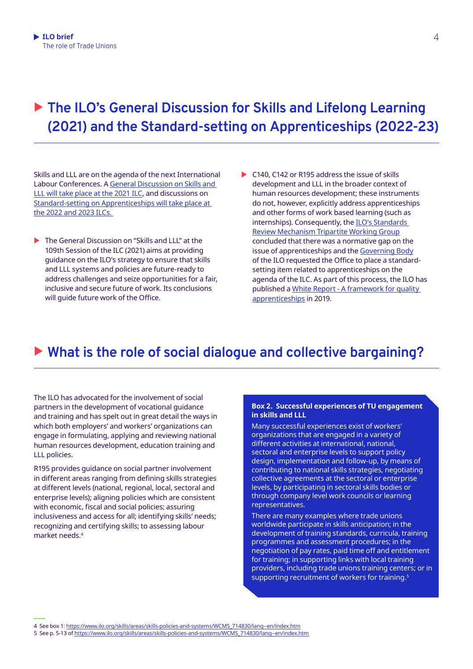# ▶ The ILO's General Discussion for Skills and Lifelong Learning **(2021) and the Standard-setting on Apprenticeships (2022-23)**

Skills and LLL are on the agenda of the next International Labour Conferences. A General Discussion on Skills and LLL will take place at the 2021 ILC, and discussions on Standard-setting on Apprenticeships will take place at the 2022 and 2023 ILCs.

- $\blacktriangleright$  The General Discussion on "Skills and LLL" at the 109th Session of the ILC (2021) aims at providing guidance on the ILO's strategy to ensure that skills and LLL systems and policies are future-ready to address challenges and seize opportunities for a fair, inclusive and secure future of work. Its conclusions will guide future work of the Office.
- $\triangleright$  C140, C142 or R195 address the issue of skills development and LLL in the broader context of human resources development; these instruments do not, however, explicitly address apprenticeships and other forms of work based learning (such as internships). Consequently, the ILO's Standards Review Mechanism Tripartite Working Group concluded that there was a normative gap on the issue of apprenticeships and the Governing Body of the ILO requested the Office to place a standardsetting item related to apprenticeships on the agenda of the ILC. As part of this process, the ILO has published a White Report - A framework for quality apprenticeships in 2019.

#### ▶ What is the role of social dialogue and collective bargaining?

The ILO has advocated for the involvement of social partners in the development of vocational guidance and training and has spelt out in great detail the ways in which both employers' and workers' organizations can engage in formulating, applying and reviewing national human resources development, education training and LLL policies.

R195 provides guidance on social partner involvement in different areas ranging from defining skills strategies at different levels (national, regional, local, sectoral and enterprise levels); aligning policies which are consistent with economic, fiscal and social policies; assuring inclusiveness and access for all; identifying skills' needs; recognizing and certifying skills; to assessing labour market needs.<sup>4</sup>

#### **Box 2. Successful experiences of TU engagement in skills and LLL**

Many successful experiences exist of workers' organizations that are engaged in a variety of different activities at international, national, sectoral and enterprise levels to support policy design, implementation and follow-up, by means of contributing to national skills strategies, negotiating collective agreements at the sectoral or enterprise levels, by participating in sectoral skills bodies or through company level work councils or learning representatives.

There are many examples where trade unions worldwide participate in skills anticipation; in the development of training standards, curricula, training programmes and assessment procedures; in the negotiation of pay rates, paid time off and entitlement for training; in supporting links with local training providers, including trade unions training centers; or in supporting recruitment of workers for training.<sup>5</sup>

4 See box 1: https://www.ilo.org/skills/areas/skills-policies-and-systems/WCMS\_714830/lang--en/index.htm

**1.**

<sup>5</sup> See p. 5-13 of https://www.ilo.org/skills/areas/skills-policies-and-systems/WCMS\_714830/lang--en/index.htm